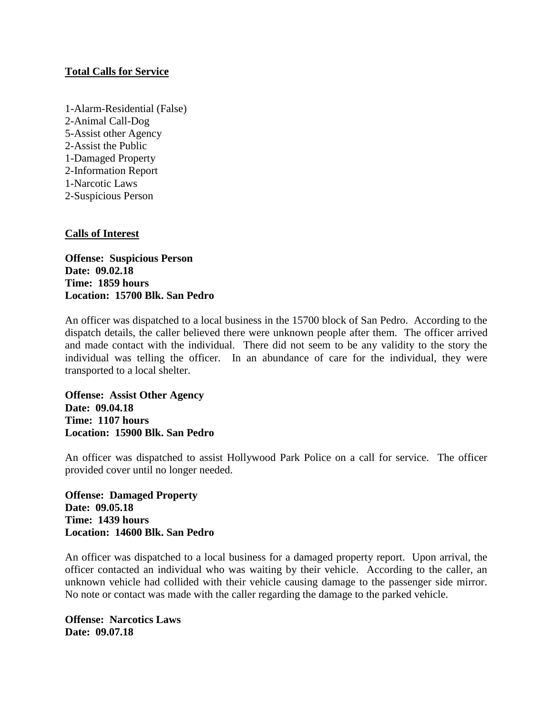# **Total Calls for Service**

1-Alarm-Residential (False) 2-Animal Call-Dog 5-Assist other Agency 2-Assist the Public 1-Damaged Property 2-Information Report 1-Narcotic Laws 2-Suspicious Person

## **Calls of Interest**

**Offense: Suspicious Person Date: 09.02.18 Time: 1859 hours Location: 15700 Blk. San Pedro**

An officer was dispatched to a local business in the 15700 block of San Pedro. According to the dispatch details, the caller believed there were unknown people after them. The officer arrived and made contact with the individual. There did not seem to be any validity to the story the individual was telling the officer. In an abundance of care for the individual, they were transported to a local shelter.

**Offense: Assist Other Agency Date: 09.04.18 Time: 1107 hours Location: 15900 Blk. San Pedro**

An officer was dispatched to assist Hollywood Park Police on a call for service. The officer provided cover until no longer needed.

**Offense: Damaged Property Date: 09.05.18 Time: 1439 hours Location: 14600 Blk. San Pedro**

An officer was dispatched to a local business for a damaged property report. Upon arrival, the officer contacted an individual who was waiting by their vehicle. According to the caller, an unknown vehicle had collided with their vehicle causing damage to the passenger side mirror. No note or contact was made with the caller regarding the damage to the parked vehicle.

**Offense: Narcotics Laws Date: 09.07.18**